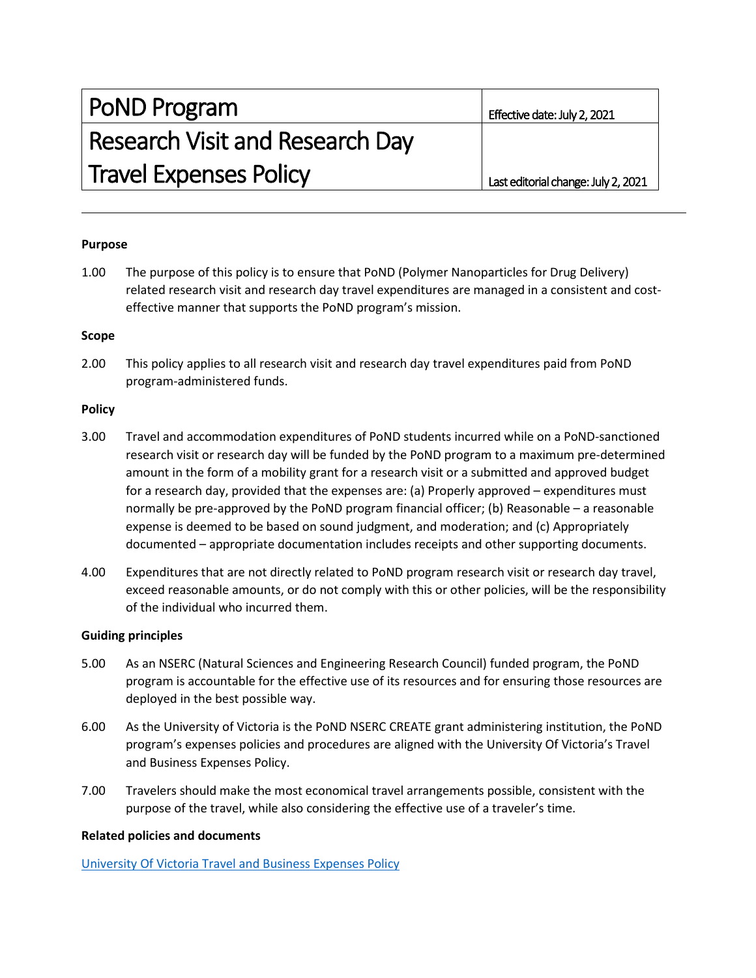| <b>PoND Program</b>                    | Effective date: July 2, 2021        |
|----------------------------------------|-------------------------------------|
| <b>Research Visit and Research Day</b> |                                     |
| <b>Travel Expenses Policy</b>          | Last editorial change: July 2, 2021 |

## **Purpose**

1.00 The purpose of this policy is to ensure that PoND (Polymer Nanoparticles for Drug Delivery) related research visit and research day travel expenditures are managed in a consistent and costeffective manner that supports the PoND program's mission.

#### **Scope**

2.00 This policy applies to all research visit and research day travel expenditures paid from PoND program-administered funds.

#### **Policy**

- 3.00 Travel and accommodation expenditures of PoND students incurred while on a PoND-sanctioned research visit or research day will be funded by the PoND program to a maximum pre-determined amount in the form of a mobility grant for a research visit or a submitted and approved budget for a research day, provided that the expenses are: (a) Properly approved – expenditures must normally be pre-approved by the PoND program financial officer; (b) Reasonable – a reasonable expense is deemed to be based on sound judgment, and moderation; and (c) Appropriately documented – appropriate documentation includes receipts and other supporting documents.
- 4.00 Expenditures that are not directly related to PoND program research visit or research day travel, exceed reasonable amounts, or do not comply with this or other policies, will be the responsibility of the individual who incurred them.

## **Guiding principles**

- 5.00 As an NSERC (Natural Sciences and Engineering Research Council) funded program, the PoND program is accountable for the effective use of its resources and for ensuring those resources are deployed in the best possible way.
- 6.00 As the University of Victoria is the PoND NSERC CREATE grant administering institution, the PoND program's expenses policies and procedures are aligned with the University Of Victoria's Travel and Business Expenses Policy.
- 7.00 Travelers should make the most economical travel arrangements possible, consistent with the purpose of the travel, while also considering the effective use of a traveler's time.

## **Related policies and documents**

[University Of Victoria Travel and Business Expenses Policy](https://www.uvic.ca/universitysecretary/assets/docs/policies/fm5610-pol-20190101.pdf)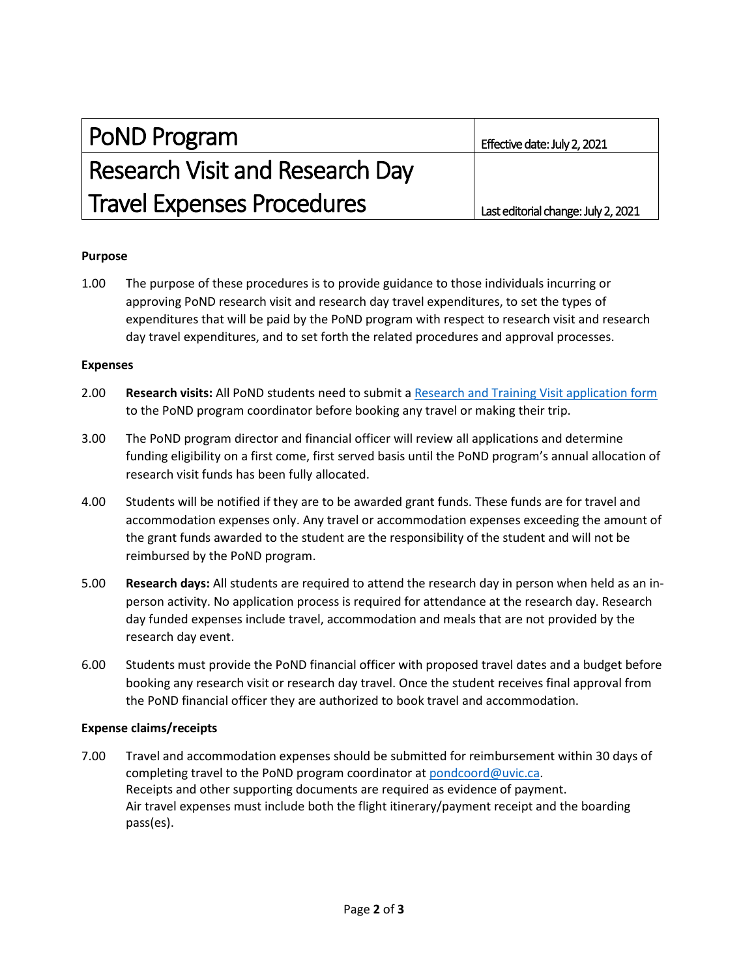| PoND Program                           | Effective date: July 2, 2021        |
|----------------------------------------|-------------------------------------|
| <b>Research Visit and Research Day</b> |                                     |
| <b>Travel Expenses Procedures</b>      | Last editorial change: July 2, 2021 |

## **Purpose**

1.00 The purpose of these procedures is to provide guidance to those individuals incurring or approving PoND research visit and research day travel expenditures, to set the types of expenditures that will be paid by the PoND program with respect to research visit and research day travel expenditures, and to set forth the related procedures and approval processes.

#### **Expenses**

- 2.00 **Research visits:** All PoND students need to submit a [Research and Training Visit application form](https://www.uvic.ca/science/chemistry/assets/docs/graduates/PoND/research_visit_application_july-27-2020-1.pdf) to the PoND program coordinator before booking any travel or making their trip.
- 3.00 The PoND program director and financial officer will review all applications and determine funding eligibility on a first come, first served basis until the PoND program's annual allocation of research visit funds has been fully allocated.
- 4.00 Students will be notified if they are to be awarded grant funds. These funds are for travel and accommodation expenses only. Any travel or accommodation expenses exceeding the amount of the grant funds awarded to the student are the responsibility of the student and will not be reimbursed by the PoND program.
- 5.00 **Research days:** All students are required to attend the research day in person when held as an inperson activity. No application process is required for attendance at the research day. Research day funded expenses include travel, accommodation and meals that are not provided by the research day event.
- 6.00 Students must provide the PoND financial officer with proposed travel dates and a budget before booking any research visit or research day travel. Once the student receives final approval from the PoND financial officer they are authorized to book travel and accommodation.

## **Expense claims/receipts**

7.00 Travel and accommodation expenses should be submitted for reimbursement within 30 days of completing travel to the PoND program coordinator at [pondcoord@uvic.ca.](mailto:pondcoord@uvic.ca) Receipts and other supporting documents are required as evidence of payment. Air travel expenses must include both the flight itinerary/payment receipt and the boarding pass(es).